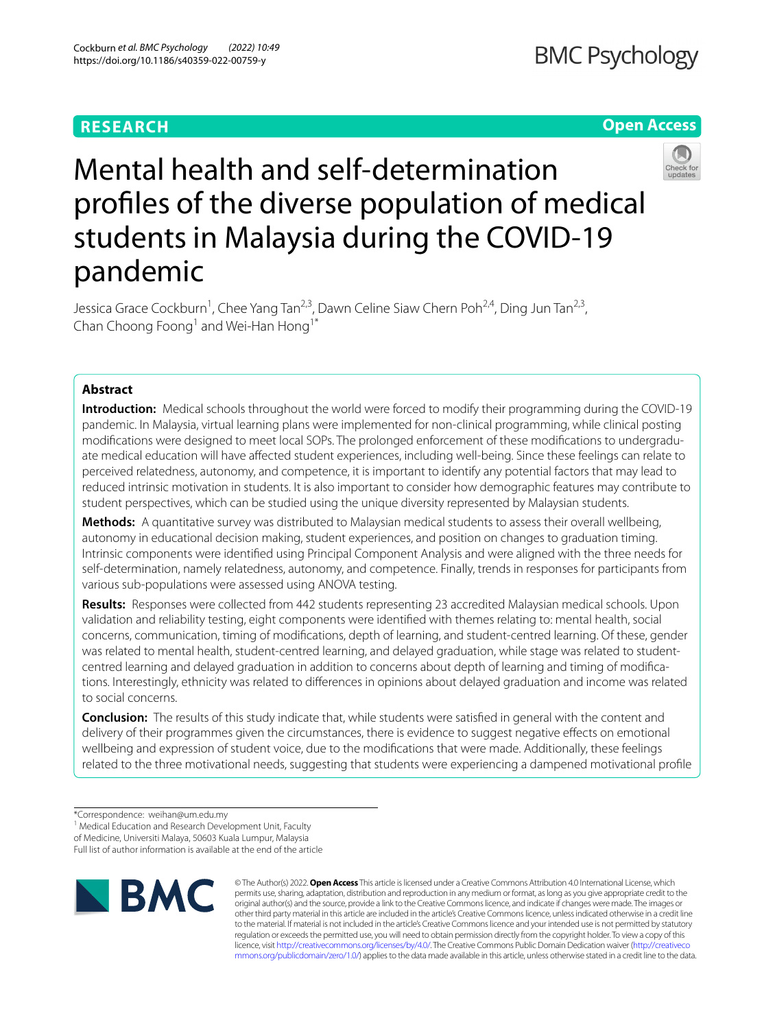# **RESEARCH**

## **Open Access**



# Mental health and self-determination profles of the diverse population of medical students in Malaysia during the COVID-19 pandemic

Jessica Grace Cockburn<sup>1</sup>, Chee Yang Tan<sup>2,3</sup>, Dawn Celine Siaw Chern Poh<sup>2,4</sup>, Ding Jun Tan<sup>2,3</sup>, Chan Choong Foong<sup>1</sup> and Wei-Han Hong<sup>1\*</sup>

## **Abstract**

**Introduction:** Medical schools throughout the world were forced to modify their programming during the COVID-19 pandemic. In Malaysia, virtual learning plans were implemented for non-clinical programming, while clinical posting modifications were designed to meet local SOPs. The prolonged enforcement of these modifications to undergraduate medical education will have afected student experiences, including well-being. Since these feelings can relate to perceived relatedness, autonomy, and competence, it is important to identify any potential factors that may lead to reduced intrinsic motivation in students. It is also important to consider how demographic features may contribute to student perspectives, which can be studied using the unique diversity represented by Malaysian students.

**Methods:** A quantitative survey was distributed to Malaysian medical students to assess their overall wellbeing, autonomy in educational decision making, student experiences, and position on changes to graduation timing. Intrinsic components were identifed using Principal Component Analysis and were aligned with the three needs for self-determination, namely relatedness, autonomy, and competence. Finally, trends in responses for participants from various sub-populations were assessed using ANOVA testing.

**Results:** Responses were collected from 442 students representing 23 accredited Malaysian medical schools. Upon validation and reliability testing, eight components were identifed with themes relating to: mental health, social concerns, communication, timing of modifcations, depth of learning, and student-centred learning. Of these, gender was related to mental health, student-centred learning, and delayed graduation, while stage was related to studentcentred learning and delayed graduation in addition to concerns about depth of learning and timing of modifications. Interestingly, ethnicity was related to diferences in opinions about delayed graduation and income was related to social concerns.

**Conclusion:** The results of this study indicate that, while students were satisfed in general with the content and delivery of their programmes given the circumstances, there is evidence to suggest negative efects on emotional wellbeing and expression of student voice, due to the modifcations that were made. Additionally, these feelings related to the three motivational needs, suggesting that students were experiencing a dampened motivational profle

<sup>1</sup> Medical Education and Research Development Unit, Faculty

Full list of author information is available at the end of the article



© The Author(s) 2022. **Open Access** This article is licensed under a Creative Commons Attribution 4.0 International License, which permits use, sharing, adaptation, distribution and reproduction in any medium or format, as long as you give appropriate credit to the original author(s) and the source, provide a link to the Creative Commons licence, and indicate if changes were made. The images or other third party material in this article are included in the article's Creative Commons licence, unless indicated otherwise in a credit line to the material. If material is not included in the article's Creative Commons licence and your intended use is not permitted by statutory regulation or exceeds the permitted use, you will need to obtain permission directly from the copyright holder. To view a copy of this licence, visit [http://creativecommons.org/licenses/by/4.0/.](http://creativecommons.org/licenses/by/4.0/) The Creative Commons Public Domain Dedication waiver ([http://creativeco](http://creativecommons.org/publicdomain/zero/1.0/) [mmons.org/publicdomain/zero/1.0/](http://creativecommons.org/publicdomain/zero/1.0/)) applies to the data made available in this article, unless otherwise stated in a credit line to the data.

<sup>\*</sup>Correspondence: weihan@um.edu.my

of Medicine, Universiti Malaya, 50603 Kuala Lumpur, Malaysia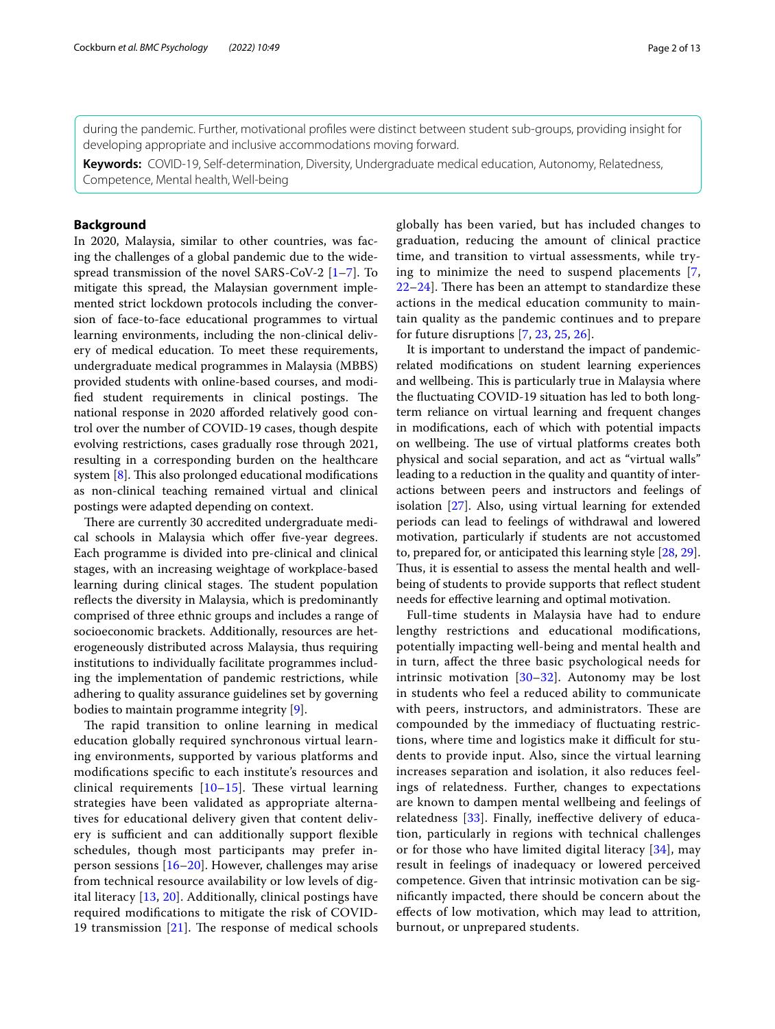during the pandemic. Further, motivational profles were distinct between student sub-groups, providing insight for developing appropriate and inclusive accommodations moving forward.

**Keywords:** COVID-19, Self-determination, Diversity, Undergraduate medical education, Autonomy, Relatedness, Competence, Mental health, Well-being

#### **Background**

In 2020, Malaysia, similar to other countries, was facing the challenges of a global pandemic due to the widespread transmission of the novel SARS-CoV-2 [\[1](#page-11-0)[–7](#page-11-1)]. To mitigate this spread, the Malaysian government implemented strict lockdown protocols including the conversion of face-to-face educational programmes to virtual learning environments, including the non-clinical delivery of medical education. To meet these requirements, undergraduate medical programmes in Malaysia (MBBS) provided students with online-based courses, and modified student requirements in clinical postings. The national response in 2020 aforded relatively good control over the number of COVID-19 cases, though despite evolving restrictions, cases gradually rose through 2021, resulting in a corresponding burden on the healthcare system  $[8]$  $[8]$ . This also prolonged educational modifications as non-clinical teaching remained virtual and clinical postings were adapted depending on context.

There are currently 30 accredited undergraduate medical schools in Malaysia which offer five-year degrees. Each programme is divided into pre-clinical and clinical stages, with an increasing weightage of workplace-based learning during clinical stages. The student population reflects the diversity in Malaysia, which is predominantly comprised of three ethnic groups and includes a range of socioeconomic brackets. Additionally, resources are heterogeneously distributed across Malaysia, thus requiring institutions to individually facilitate programmes including the implementation of pandemic restrictions, while adhering to quality assurance guidelines set by governing bodies to maintain programme integrity [[9\]](#page-11-3).

The rapid transition to online learning in medical education globally required synchronous virtual learning environments, supported by various platforms and modifcations specifc to each institute's resources and clinical requirements  $[10-15]$  $[10-15]$  $[10-15]$ . These virtual learning strategies have been validated as appropriate alternatives for educational delivery given that content delivery is sufficient and can additionally support flexible schedules, though most participants may prefer inperson sessions [[16](#page-11-6)[–20](#page-11-7)]. However, challenges may arise from technical resource availability or low levels of digital literacy [[13](#page-11-8), [20](#page-11-7)]. Additionally, clinical postings have required modifcations to mitigate the risk of COVID-19 transmission  $[21]$  $[21]$ . The response of medical schools globally has been varied, but has included changes to graduation, reducing the amount of clinical practice time, and transition to virtual assessments, while trying to minimize the need to suspend placements [\[7](#page-11-1),  $22-24$  $22-24$ . There has been an attempt to standardize these actions in the medical education community to maintain quality as the pandemic continues and to prepare for future disruptions [\[7,](#page-11-1) [23](#page-11-12), [25](#page-11-13), [26](#page-11-14)].

It is important to understand the impact of pandemicrelated modifcations on student learning experiences and wellbeing. This is particularly true in Malaysia where the fuctuating COVID-19 situation has led to both longterm reliance on virtual learning and frequent changes in modifcations, each of which with potential impacts on wellbeing. The use of virtual platforms creates both physical and social separation, and act as "virtual walls" leading to a reduction in the quality and quantity of interactions between peers and instructors and feelings of isolation [\[27\]](#page-11-15). Also, using virtual learning for extended periods can lead to feelings of withdrawal and lowered motivation, particularly if students are not accustomed to, prepared for, or anticipated this learning style [[28,](#page-11-16) [29](#page-11-17)]. Thus, it is essential to assess the mental health and wellbeing of students to provide supports that refect student needs for efective learning and optimal motivation.

Full-time students in Malaysia have had to endure lengthy restrictions and educational modifcations, potentially impacting well-being and mental health and in turn, afect the three basic psychological needs for intrinsic motivation [\[30](#page-11-18)–[32\]](#page-11-19). Autonomy may be lost in students who feel a reduced ability to communicate with peers, instructors, and administrators. These are compounded by the immediacy of fuctuating restrictions, where time and logistics make it difficult for students to provide input. Also, since the virtual learning increases separation and isolation, it also reduces feelings of relatedness. Further, changes to expectations are known to dampen mental wellbeing and feelings of relatedness [\[33](#page-11-20)]. Finally, inefective delivery of education, particularly in regions with technical challenges or for those who have limited digital literacy [\[34](#page-12-0)], may result in feelings of inadequacy or lowered perceived competence. Given that intrinsic motivation can be signifcantly impacted, there should be concern about the efects of low motivation, which may lead to attrition, burnout, or unprepared students.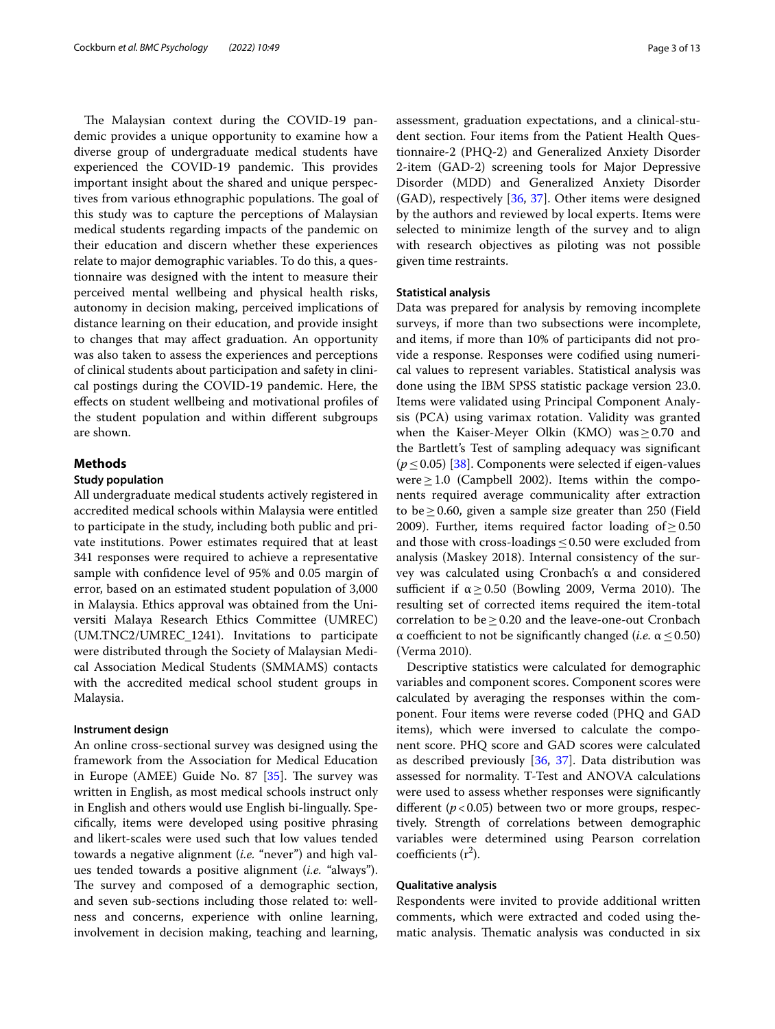The Malaysian context during the COVID-19 pandemic provides a unique opportunity to examine how a diverse group of undergraduate medical students have experienced the COVID-19 pandemic. This provides important insight about the shared and unique perspectives from various ethnographic populations. The goal of this study was to capture the perceptions of Malaysian medical students regarding impacts of the pandemic on their education and discern whether these experiences relate to major demographic variables. To do this, a questionnaire was designed with the intent to measure their perceived mental wellbeing and physical health risks, autonomy in decision making, perceived implications of distance learning on their education, and provide insight to changes that may afect graduation. An opportunity was also taken to assess the experiences and perceptions of clinical students about participation and safety in clinical postings during the COVID-19 pandemic. Here, the efects on student wellbeing and motivational profles of the student population and within diferent subgroups are shown.

#### **Methods**

#### **Study population**

All undergraduate medical students actively registered in accredited medical schools within Malaysia were entitled to participate in the study, including both public and private institutions. Power estimates required that at least 341 responses were required to achieve a representative sample with confdence level of 95% and 0.05 margin of error, based on an estimated student population of 3,000 in Malaysia. Ethics approval was obtained from the Universiti Malaya Research Ethics Committee (UMREC) (UM.TNC2/UMREC\_1241). Invitations to participate were distributed through the Society of Malaysian Medical Association Medical Students (SMMAMS) contacts with the accredited medical school student groups in Malaysia.

#### **Instrument design**

An online cross-sectional survey was designed using the framework from the Association for Medical Education in Europe (AMEE) Guide No. 87  $[35]$  $[35]$ . The survey was written in English, as most medical schools instruct only in English and others would use English bi-lingually. Specifcally, items were developed using positive phrasing and likert-scales were used such that low values tended towards a negative alignment (*i.e.* "never") and high values tended towards a positive alignment (*i.e.* "always"). The survey and composed of a demographic section, and seven sub-sections including those related to: wellness and concerns, experience with online learning, involvement in decision making, teaching and learning,

assessment, graduation expectations, and a clinical-student section. Four items from the Patient Health Questionnaire-2 (PHQ-2) and Generalized Anxiety Disorder 2-item (GAD-2) screening tools for Major Depressive Disorder (MDD) and Generalized Anxiety Disorder (GAD), respectively [[36,](#page-12-2) [37\]](#page-12-3). Other items were designed by the authors and reviewed by local experts. Items were selected to minimize length of the survey and to align with research objectives as piloting was not possible given time restraints.

#### **Statistical analysis**

Data was prepared for analysis by removing incomplete surveys, if more than two subsections were incomplete, and items, if more than 10% of participants did not provide a response. Responses were codifed using numerical values to represent variables. Statistical analysis was done using the IBM SPSS statistic package version 23.0. Items were validated using Principal Component Analysis (PCA) using varimax rotation. Validity was granted when the Kaiser-Meyer Olkin (KMO) was≥0.70 and the Bartlett's Test of sampling adequacy was signifcant (*p*≤0.05) [[38\]](#page-12-4). Components were selected if eigen-values were $\geq$ 1.0 (Campbell 2002). Items within the components required average communicality after extraction to be≥0.60, given a sample size greater than 250 (Field 2009). Further, items required factor loading of  $\geq$  0.50 and those with cross-loadings  $\leq 0.50$  were excluded from analysis (Maskey 2018). Internal consistency of the survey was calculated using Cronbach's α and considered sufficient if  $\alpha \geq 0.50$  (Bowling 2009, Verma 2010). The resulting set of corrected items required the item-total correlation to be  $\geq$  0.20 and the leave-one-out Cronbach  $α$  coefficient to not be significantly changed (*i.e.*  $α ≤ 0.50$ ) (Verma 2010).

Descriptive statistics were calculated for demographic variables and component scores. Component scores were calculated by averaging the responses within the component. Four items were reverse coded (PHQ and GAD items), which were inversed to calculate the component score. PHQ score and GAD scores were calculated as described previously [[36,](#page-12-2) [37](#page-12-3)]. Data distribution was assessed for normality. T-Test and ANOVA calculations were used to assess whether responses were signifcantly different ( $p$ <0.05) between two or more groups, respectively. Strength of correlations between demographic variables were determined using Pearson correlation coefficients  $(r^2)$ .

#### **Qualitative analysis**

Respondents were invited to provide additional written comments, which were extracted and coded using thematic analysis. Thematic analysis was conducted in six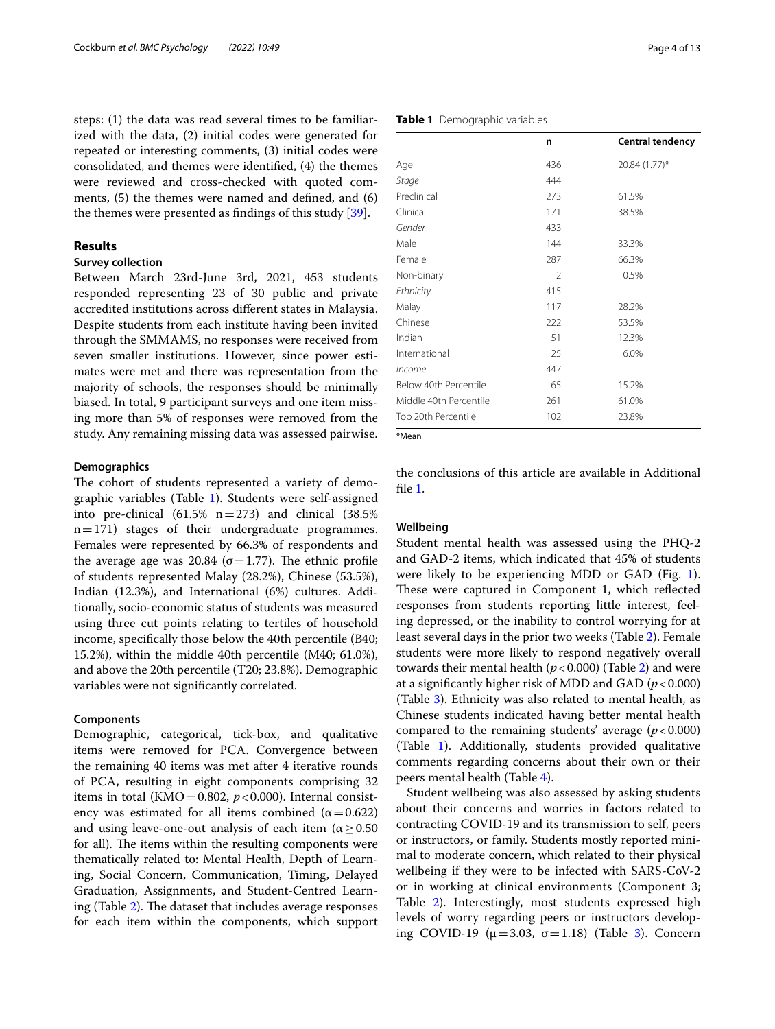steps: (1) the data was read several times to be familiarized with the data, (2) initial codes were generated for repeated or interesting comments, (3) initial codes were consolidated, and themes were identifed, (4) the themes were reviewed and cross-checked with quoted comments, (5) the themes were named and defned, and (6) the themes were presented as fndings of this study [\[39](#page-12-5)].

#### **Results**

#### **Survey collection**

Between March 23rd-June 3rd, 2021, 453 students responded representing 23 of 30 public and private accredited institutions across diferent states in Malaysia. Despite students from each institute having been invited through the SMMAMS, no responses were received from seven smaller institutions. However, since power estimates were met and there was representation from the majority of schools, the responses should be minimally biased. In total, 9 participant surveys and one item missing more than 5% of responses were removed from the study. Any remaining missing data was assessed pairwise.

#### **Demographics**

The cohort of students represented a variety of demographic variables (Table [1\)](#page-3-0). Students were self-assigned into pre-clinical  $(61.5\% \text{ n} = 273)$  and clinical  $(38.5\% \text{ n} = 273)$  $n=171$ ) stages of their undergraduate programmes. Females were represented by 66.3% of respondents and the average age was 20.84 ( $\sigma$ =1.77). The ethnic profile of students represented Malay (28.2%), Chinese (53.5%), Indian (12.3%), and International (6%) cultures. Additionally, socio-economic status of students was measured using three cut points relating to tertiles of household income, specifcally those below the 40th percentile (B40; 15.2%), within the middle 40th percentile (M40; 61.0%), and above the 20th percentile (T20; 23.8%). Demographic variables were not signifcantly correlated.

#### **Components**

Demographic, categorical, tick-box, and qualitative items were removed for PCA. Convergence between the remaining 40 items was met after 4 iterative rounds of PCA, resulting in eight components comprising 32 items in total (KMO =  $0.802$ ,  $p < 0.000$ ). Internal consistency was estimated for all items combined ( $\alpha$  = 0.622) and using leave-one-out analysis of each item ( $\alpha \geq 0.50$ ) for all). The items within the resulting components were thematically related to: Mental Health, Depth of Learning, Social Concern, Communication, Timing, Delayed Graduation, Assignments, and Student-Centred Learning (Table  $2$ ). The dataset that includes average responses for each item within the components, which support

|               | n              | <b>Central tendency</b> |
|---------------|----------------|-------------------------|
| Age           | 436            | 20.84 (1.77)*           |
| Stage         | 444            |                         |
| Preclinical   | 273            | 61.5%                   |
| Clinical      | 171            | 38.5%                   |
| Gender        | 433            |                         |
| Male          | 144            | 33.3%                   |
| Female        | 287            | 66.3%                   |
| Non-binary    | $\overline{2}$ | 0.5%                    |
| Ethnicity     | 415            |                         |
| Malay         | 117            | 28.2%                   |
| Chinese       | 222            | 53.5%                   |
| Indian        | 51             | 12.3%                   |
| International | 25             | 6.0%                    |
| Income        | 447            |                         |

\*Mean

the conclusions of this article are available in Additional fle [1](#page-10-0).

Below 40th Percentile 65 65 15.2% Middle 40th Percentile 261 2001 Top 20th Percentile 102 23.8%

#### **Wellbeing**

Student mental health was assessed using the PHQ-2 and GAD-2 items, which indicated that 45% of students were likely to be experiencing MDD or GAD (Fig. [1](#page-5-0)). These were captured in Component 1, which reflected responses from students reporting little interest, feeling depressed, or the inability to control worrying for at least several days in the prior two weeks (Table [2\)](#page-4-0). Female students were more likely to respond negatively overall towards their mental health  $(p < 0.000)$  (Table [2](#page-4-0)) and were at a significantly higher risk of MDD and GAD  $(p < 0.000)$ (Table [3](#page-6-0)). Ethnicity was also related to mental health, as Chinese students indicated having better mental health compared to the remaining students' average  $(p < 0.000)$ (Table [1\)](#page-3-0). Additionally, students provided qualitative comments regarding concerns about their own or their peers mental health (Table [4](#page-7-0)).

Student wellbeing was also assessed by asking students about their concerns and worries in factors related to contracting COVID-19 and its transmission to self, peers or instructors, or family. Students mostly reported minimal to moderate concern, which related to their physical wellbeing if they were to be infected with SARS-CoV-2 or in working at clinical environments (Component 3; Table [2\)](#page-4-0). Interestingly, most students expressed high levels of worry regarding peers or instructors developing COVID-19 ( $\mu$  = 3.03, σ = 1.18) (Table [3\)](#page-6-0). Concern

#### <span id="page-3-0"></span>**Table 1** Demographic variables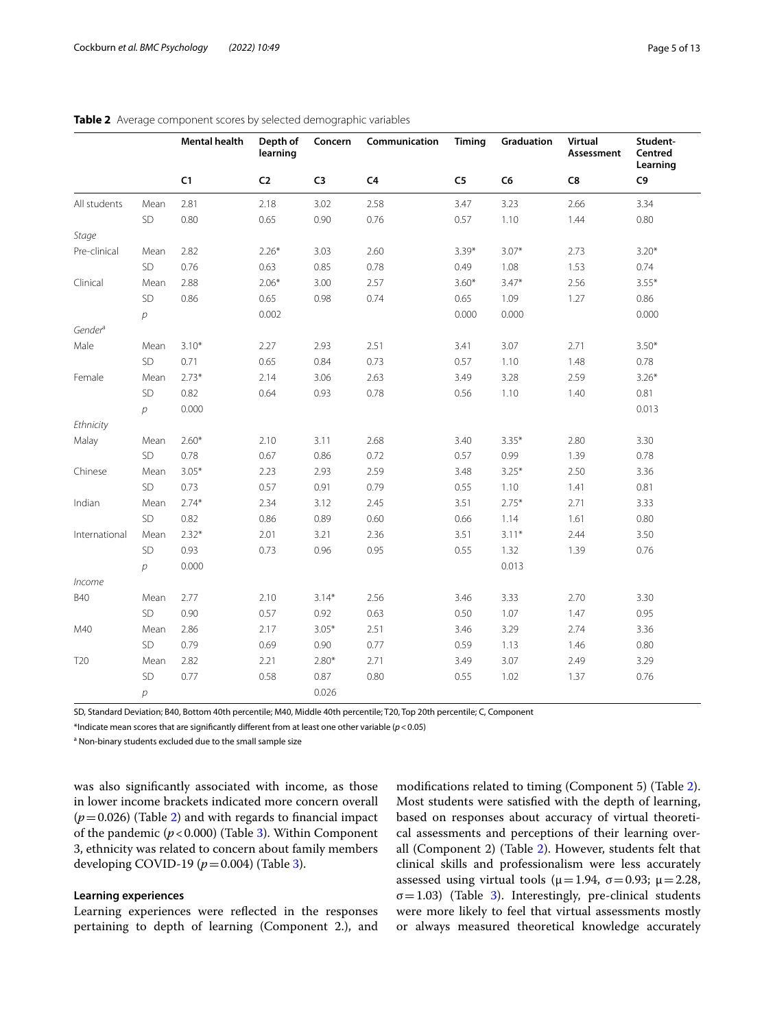|                     |                | Mental health | Depth of<br>learning | Concern        | Communication  | Timing         | Graduation | Virtual<br>Assessment | Student-<br>Centred<br>Learning |
|---------------------|----------------|---------------|----------------------|----------------|----------------|----------------|------------|-----------------------|---------------------------------|
|                     |                | C1            | C <sub>2</sub>       | C <sub>3</sub> | C <sub>4</sub> | C <sub>5</sub> | C6         | C8                    | C <sub>9</sub>                  |
| All students        | Mean           | 2.81          | 2.18                 | 3.02           | 2.58           | 3.47           | 3.23       | 2.66                  | 3.34                            |
|                     | SD             | 0.80          | 0.65                 | 0.90           | 0.76           | 0.57           | 1.10       | 1.44                  | 0.80                            |
| Stage               |                |               |                      |                |                |                |            |                       |                                 |
| Pre-clinical        | Mean           | 2.82          | $2.26*$              | 3.03           | 2.60           | $3.39*$        | $3.07*$    | 2.73                  | $3.20*$                         |
|                     | SD             | 0.76          | 0.63                 | 0.85           | 0.78           | 0.49           | 1.08       | 1.53                  | 0.74                            |
| Clinical            | Mean           | 2.88          | $2.06*$              | 3.00           | 2.57           | $3.60*$        | $3.47*$    | 2.56                  | $3.55*$                         |
|                     | SD             | 0.86          | 0.65                 | 0.98           | 0.74           | 0.65           | 1.09       | 1.27                  | 0.86                            |
|                     | р              |               | 0.002                |                |                | 0.000          | 0.000      |                       | 0.000                           |
| Gender <sup>a</sup> |                |               |                      |                |                |                |            |                       |                                 |
| Male                | Mean           | $3.10*$       | 2.27                 | 2.93           | 2.51           | 3.41           | 3.07       | 2.71                  | $3.50*$                         |
|                     | SD             | 0.71          | 0.65                 | 0.84           | 0.73           | 0.57           | 1.10       | 1.48                  | 0.78                            |
| Female              | Mean           | $2.73*$       | 2.14                 | 3.06           | 2.63           | 3.49           | 3.28       | 2.59                  | $3.26*$                         |
|                     | SD             | 0.82          | 0.64                 | 0.93           | 0.78           | 0.56           | 1.10       | 1.40                  | 0.81                            |
|                     | $\overline{p}$ | 0.000         |                      |                |                |                |            |                       | 0.013                           |
| Ethnicity           |                |               |                      |                |                |                |            |                       |                                 |
| Malay               | Mean           | $2.60*$       | 2.10                 | 3.11           | 2.68           | 3.40           | $3.35*$    | 2.80                  | 3.30                            |
|                     | SD             | 0.78          | 0.67                 | 0.86           | 0.72           | 0.57           | 0.99       | 1.39                  | 0.78                            |
| Chinese             | Mean           | $3.05*$       | 2.23                 | 2.93           | 2.59           | 3.48           | $3.25*$    | 2.50                  | 3.36                            |
|                     | SD             | 0.73          | 0.57                 | 0.91           | 0.79           | 0.55           | 1.10       | 1.41                  | 0.81                            |
| Indian              | Mean           | $2.74*$       | 2.34                 | 3.12           | 2.45           | 3.51           | $2.75*$    | 2.71                  | 3.33                            |
|                     | SD             | 0.82          | 0.86                 | 0.89           | 0.60           | 0.66           | 1.14       | 1.61                  | 0.80                            |
| International       | Mean           | $2.32*$       | 2.01                 | 3.21           | 2.36           | 3.51           | $3.11*$    | 2.44                  | 3.50                            |
|                     | SD             | 0.93          | 0.73                 | 0.96           | 0.95           | 0.55           | 1.32       | 1.39                  | 0.76                            |
|                     | $\overline{p}$ | 0.000         |                      |                |                |                | 0.013      |                       |                                 |
| Income              |                |               |                      |                |                |                |            |                       |                                 |
| <b>B40</b>          | Mean           | 2.77          | 2.10                 | $3.14*$        | 2.56           | 3.46           | 3.33       | 2.70                  | 3.30                            |
|                     | SD             | 0.90          | 0.57                 | 0.92           | 0.63           | 0.50           | 1.07       | 1.47                  | 0.95                            |
| M40                 | Mean           | 2.86          | 2.17                 | $3.05*$        | 2.51           | 3.46           | 3.29       | 2.74                  | 3.36                            |
|                     | SD             | 0.79          | 0.69                 | 0.90           | 0.77           | 0.59           | 1.13       | 1.46                  | 0.80                            |
| T <sub>20</sub>     | Mean           | 2.82          | 2.21                 | $2.80*$        | 2.71           | 3.49           | 3.07       | 2.49                  | 3.29                            |
|                     | SD             | 0.77          | 0.58                 | 0.87           | 0.80           | 0.55           | 1.02       | 1.37                  | 0.76                            |
|                     | р              |               |                      | 0.026          |                |                |            |                       |                                 |

#### <span id="page-4-0"></span>**Table 2** Average component scores by selected demographic variables

SD, Standard Deviation; B40, Bottom 40th percentile; M40, Middle 40th percentile; T20, Top 20th percentile; C, Component

\*Indicate mean scores that are signifcantly diferent from at least one other variable (*p*<0.05)

<sup>a</sup> Non-binary students excluded due to the small sample size

was also signifcantly associated with income, as those in lower income brackets indicated more concern overall  $(p=0.026)$  $(p=0.026)$  $(p=0.026)$  (Table 2) and with regards to financial impact of the pandemic  $(p<0.000)$  (Table [3](#page-6-0)). Within Component 3, ethnicity was related to concern about family members developing COVID-19 (*p*=0.004) (Table [3\)](#page-6-0).

#### **Learning experiences**

Learning experiences were refected in the responses pertaining to depth of learning (Component 2.), and modifcations related to timing (Component 5) (Table [2](#page-4-0)). Most students were satisfed with the depth of learning, based on responses about accuracy of virtual theoretical assessments and perceptions of their learning overall (Component 2) (Table [2\)](#page-4-0). However, students felt that clinical skills and professionalism were less accurately assessed using virtual tools ( $\mu$  = 1.94, σ = 0.93;  $\mu$  = 2.28,  $\sigma$ =1.0[3](#page-6-0)) (Table 3). Interestingly, pre-clinical students were more likely to feel that virtual assessments mostly or always measured theoretical knowledge accurately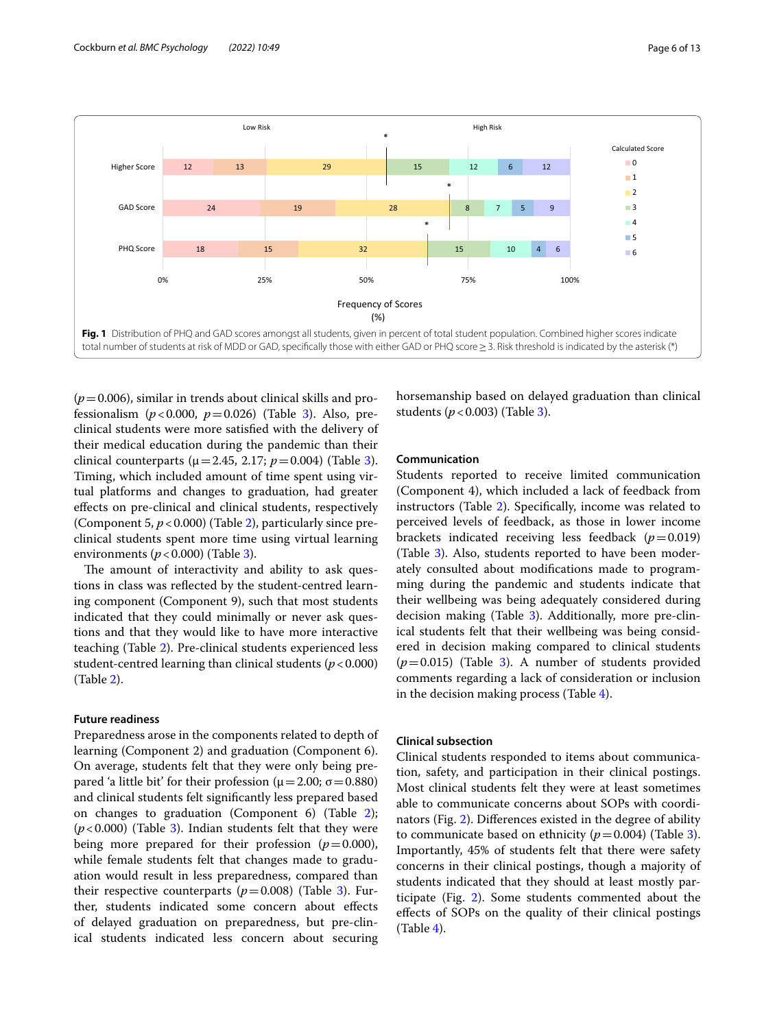

<span id="page-5-0"></span> $(p=0.006)$ , similar in trends about clinical skills and professionalism  $(p<0.000, p=0.026)$  (Table [3](#page-6-0)). Also, preclinical students were more satisfed with the delivery of their medical education during the pandemic than their clinical counterparts ( $\mu$  = 2.45, 2.17;  $p$  = 0.004) (Table [3](#page-6-0)). Timing, which included amount of time spent using virtual platforms and changes to graduation, had greater efects on pre-clinical and clinical students, respectively (Component 5,  $p < 0.000$ ) (Table [2\)](#page-4-0), particularly since preclinical students spent more time using virtual learning environments ( $p < 0.000$ ) (Table [3\)](#page-6-0).

The amount of interactivity and ability to ask questions in class was refected by the student-centred learning component (Component 9), such that most students indicated that they could minimally or never ask questions and that they would like to have more interactive teaching (Table [2\)](#page-4-0). Pre-clinical students experienced less student-centred learning than clinical students ( $p < 0.000$ ) (Table [2](#page-4-0)).

#### **Future readiness**

Preparedness arose in the components related to depth of learning (Component 2) and graduation (Component 6). On average, students felt that they were only being prepared 'a little bit' for their profession ( $\mu$  = 2.00; σ = 0.880) and clinical students felt signifcantly less prepared based on changes to graduation (Component 6) (Table [2](#page-4-0));  $(p<0.000)$  (Table [3\)](#page-6-0). Indian students felt that they were being more prepared for their profession  $(p=0.000)$ , while female students felt that changes made to graduation would result in less preparedness, compared than their respective counterparts  $(p=0.008)$  (Table [3\)](#page-6-0). Further, students indicated some concern about efects of delayed graduation on preparedness, but pre-clinical students indicated less concern about securing horsemanship based on delayed graduation than clinical students (*p*<0.003) (Table [3\)](#page-6-0).

#### **Communication**

Students reported to receive limited communication (Component 4), which included a lack of feedback from instructors (Table [2\)](#page-4-0). Specifcally, income was related to perceived levels of feedback, as those in lower income brackets indicated receiving less feedback  $(p=0.019)$ (Table [3\)](#page-6-0). Also, students reported to have been moderately consulted about modifcations made to programming during the pandemic and students indicate that their wellbeing was being adequately considered during decision making (Table [3\)](#page-6-0). Additionally, more pre-clinical students felt that their wellbeing was being considered in decision making compared to clinical students  $(p=0.015)$  (Table [3](#page-6-0)). A number of students provided comments regarding a lack of consideration or inclusion in the decision making process (Table [4](#page-7-0)).

#### **Clinical subsection**

Clinical students responded to items about communication, safety, and participation in their clinical postings. Most clinical students felt they were at least sometimes able to communicate concerns about SOPs with coordinators (Fig. [2\)](#page-7-1). Diferences existed in the degree of ability to communicate based on ethnicity  $(p=0.004)$  (Table [3](#page-6-0)). Importantly, 45% of students felt that there were safety concerns in their clinical postings, though a majority of students indicated that they should at least mostly participate (Fig. [2](#page-7-1)). Some students commented about the efects of SOPs on the quality of their clinical postings (Table [4\)](#page-7-0).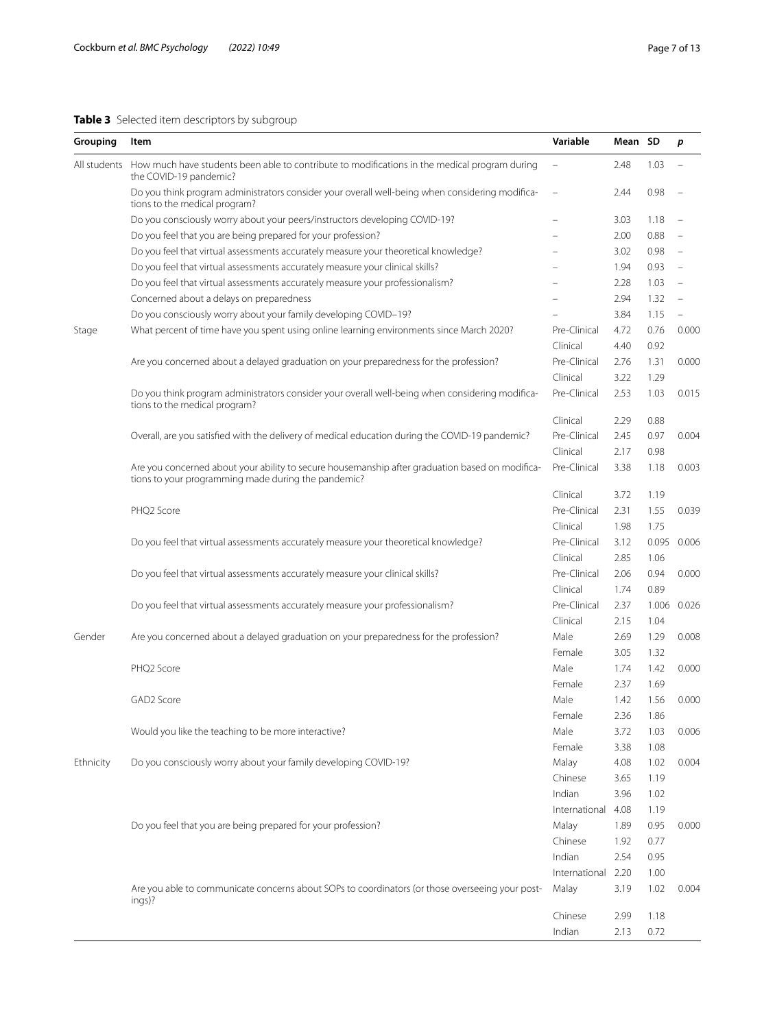#### <span id="page-6-0"></span>**Table 3** Selected item descriptors by subgroup

| Grouping     | Item                                                                                                                                                   | Variable                 | Mean SD |       | p     |
|--------------|--------------------------------------------------------------------------------------------------------------------------------------------------------|--------------------------|---------|-------|-------|
| All students | How much have students been able to contribute to modifications in the medical program during<br>the COVID-19 pandemic?                                |                          | 2.48    | 1.03  |       |
|              | Do you think program administrators consider your overall well-being when considering modifica-<br>tions to the medical program?                       |                          | 2.44    | 0.98  |       |
|              | Do you consciously worry about your peers/instructors developing COVID-19?                                                                             | $\overline{\phantom{0}}$ | 3.03    | 1.18  |       |
|              | Do you feel that you are being prepared for your profession?                                                                                           |                          | 2.00    | 0.88  |       |
|              | Do you feel that virtual assessments accurately measure your theoretical knowledge?                                                                    |                          | 3.02    | 0.98  |       |
|              | Do you feel that virtual assessments accurately measure your clinical skills?                                                                          |                          | 1.94    | 0.93  |       |
|              | Do you feel that virtual assessments accurately measure your professionalism?                                                                          |                          | 2.28    | 1.03  |       |
|              | Concerned about a delays on preparedness                                                                                                               |                          | 2.94    | 1.32  |       |
|              | Do you consciously worry about your family developing COVID-19?                                                                                        |                          | 3.84    | 1.15  |       |
| Stage        | What percent of time have you spent using online learning environments since March 2020?                                                               | Pre-Clinical             | 4.72    | 0.76  | 0.000 |
|              |                                                                                                                                                        | Clinical                 | 4.40    | 0.92  |       |
|              | Are you concerned about a delayed graduation on your preparedness for the profession?                                                                  | Pre-Clinical             | 2.76    | 1.31  | 0.000 |
|              |                                                                                                                                                        | Clinical                 | 3.22    | 1.29  |       |
|              | Do you think program administrators consider your overall well-being when considering modifica-<br>tions to the medical program?                       | Pre-Clinical             | 2.53    | 1.03  | 0.015 |
|              |                                                                                                                                                        | Clinical                 | 2.29    | 0.88  |       |
|              | Overall, are you satisfied with the delivery of medical education during the COVID-19 pandemic?                                                        | Pre-Clinical             | 2.45    | 0.97  | 0.004 |
|              |                                                                                                                                                        | Clinical                 | 2.17    | 0.98  |       |
|              | Are you concerned about your ability to secure housemanship after graduation based on modifica-<br>tions to your programming made during the pandemic? | Pre-Clinical             | 3.38    | 1.18  | 0.003 |
|              |                                                                                                                                                        | Clinical                 | 3.72    | 1.19  |       |
|              | PHQ2 Score                                                                                                                                             | Pre-Clinical             | 2.31    | 1.55  | 0.039 |
|              |                                                                                                                                                        | Clinical                 | 1.98    | 1.75  |       |
|              | Do you feel that virtual assessments accurately measure your theoretical knowledge?                                                                    | Pre-Clinical             | 3.12    | 0.095 | 0.006 |
|              |                                                                                                                                                        | Clinical                 | 2.85    | 1.06  |       |
|              | Do you feel that virtual assessments accurately measure your clinical skills?                                                                          | Pre-Clinical             | 2.06    | 0.94  | 0.000 |
|              |                                                                                                                                                        | Clinical                 | 1.74    | 0.89  |       |
|              | Do you feel that virtual assessments accurately measure your professionalism?                                                                          | Pre-Clinical             | 2.37    | 1.006 | 0.026 |
|              |                                                                                                                                                        | Clinical                 | 2.15    | 1.04  |       |
| Gender       | Are you concerned about a delayed graduation on your preparedness for the profession?                                                                  | Male                     | 2.69    | 1.29  | 0.008 |
|              |                                                                                                                                                        | Female                   | 3.05    | 1.32  |       |
|              | PHQ2 Score                                                                                                                                             | Male                     | 1.74    | 1.42  | 0.000 |
|              |                                                                                                                                                        | Female                   | 2.37    | 1.69  |       |
|              | GAD2 Score                                                                                                                                             | Male                     | 1.42    | 1.56  | 0.000 |
|              |                                                                                                                                                        | Female                   | 2.36    | 1.86  |       |
|              | Would you like the teaching to be more interactive?                                                                                                    | Male                     | 3.72    | 1.03  | 0.006 |
|              |                                                                                                                                                        | Female                   | 3.38    | 1.08  |       |
|              | Do you consciously worry about your family developing COVID-19?                                                                                        |                          |         | 1.02  |       |
| Ethnicity    |                                                                                                                                                        | Malay                    | 4.08    |       | 0.004 |
|              |                                                                                                                                                        | Chinese                  | 3.65    | 1.19  |       |
|              |                                                                                                                                                        | Indian                   | 3.96    | 1.02  |       |
|              |                                                                                                                                                        | International            | 4.08    | 1.19  |       |
|              | Do you feel that you are being prepared for your profession?                                                                                           | Malay                    | 1.89    | 0.95  | 0.000 |
|              |                                                                                                                                                        | Chinese                  | 1.92    | 0.77  |       |
|              |                                                                                                                                                        | Indian                   | 2.54    | 0.95  |       |

Are you able to communicate concerns about SOPs to coordinators (or those overseeing your postings)? Malay 3.19 1.02 0.004

International 2.20 1.00

Chinese 2.99 1.18 Indian 2.13 0.72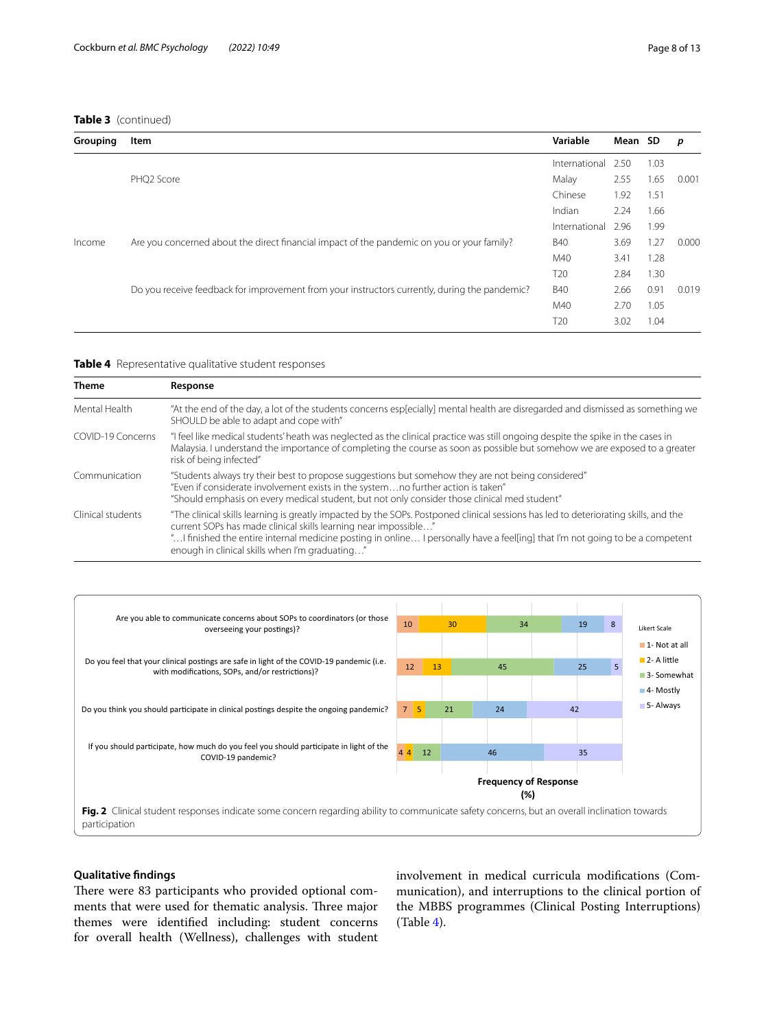| Grouping | Item                                                                                          | Variable        | Mean SD |      | p     |
|----------|-----------------------------------------------------------------------------------------------|-----------------|---------|------|-------|
|          |                                                                                               | International   | 2.50    | 1.03 |       |
|          | PHO <sub>2</sub> Score                                                                        | Malay           | 2.55    | 1.65 | 0.001 |
|          |                                                                                               | Chinese         | 1.92    | 1.51 |       |
|          |                                                                                               | Indian          | 2.24    | 1.66 |       |
|          |                                                                                               | International   | 2.96    | 1.99 |       |
| Income   | Are you concerned about the direct financial impact of the pandemic on you or your family?    | <b>B40</b>      | 3.69    | 1.27 | 0.000 |
|          |                                                                                               | M40             | 3.41    | 1.28 |       |
|          |                                                                                               | T <sub>20</sub> | 2.84    | 1.30 |       |
|          | Do you receive feedback for improvement from your instructors currently, during the pandemic? | <b>B40</b>      | 2.66    | 0.91 | 0.019 |
|          |                                                                                               | M40             | 2.70    | 1.05 |       |
|          |                                                                                               | T <sub>20</sub> | 3.02    | 1.04 |       |

<span id="page-7-0"></span>**Table 4** Representative qualitative student responses

| <b>Theme</b>      | Response                                                                                                                                                                                                                                                                                                                                                                                   |  |  |  |  |
|-------------------|--------------------------------------------------------------------------------------------------------------------------------------------------------------------------------------------------------------------------------------------------------------------------------------------------------------------------------------------------------------------------------------------|--|--|--|--|
| Mental Health     | "At the end of the day, a lot of the students concerns esp[ecially] mental health are disregarded and dismissed as something we<br>SHOULD be able to adapt and cope with"                                                                                                                                                                                                                  |  |  |  |  |
| COVID-19 Concerns | "I feel like medical students' heath was neglected as the clinical practice was still ongoing despite the spike in the cases in<br>Malaysia. I understand the importance of completing the course as soon as possible but somehow we are exposed to a greater<br>risk of being infected"                                                                                                   |  |  |  |  |
| Communication     | "Students always try their best to propose suggestions but somehow they are not being considered"<br>"Even if considerate involvement exists in the systemno further action is taken"<br>"Should emphasis on every medical student, but not only consider those clinical med student"                                                                                                      |  |  |  |  |
| Clinical students | "The clinical skills learning is greatly impacted by the SOPs. Postponed clinical sessions has led to deteriorating skills, and the<br>current SOPs has made clinical skills learning near impossible"<br>" I finished the entire internal medicine posting in online I personally have a feel[ing] that I'm not going to be a competent<br>enough in clinical skills when I'm graduating" |  |  |  |  |



#### <span id="page-7-1"></span>**Qualitative fndings**

There were 83 participants who provided optional comments that were used for thematic analysis. Three major themes were identifed including: student concerns for overall health (Wellness), challenges with student involvement in medical curricula modifcations (Communication), and interruptions to the clinical portion of the MBBS programmes (Clinical Posting Interruptions) (Table [4\)](#page-7-0).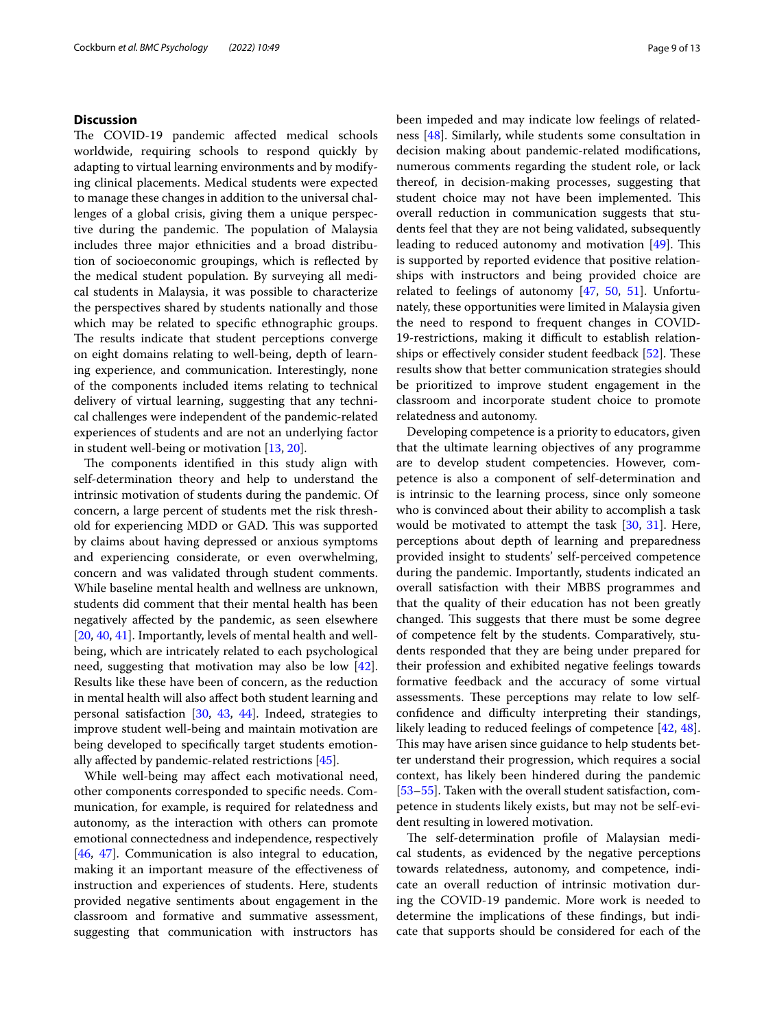#### **Discussion**

The COVID-19 pandemic affected medical schools worldwide, requiring schools to respond quickly by adapting to virtual learning environments and by modifying clinical placements. Medical students were expected to manage these changes in addition to the universal challenges of a global crisis, giving them a unique perspective during the pandemic. The population of Malaysia includes three major ethnicities and a broad distribution of socioeconomic groupings, which is refected by the medical student population. By surveying all medical students in Malaysia, it was possible to characterize the perspectives shared by students nationally and those which may be related to specific ethnographic groups. The results indicate that student perceptions converge on eight domains relating to well-being, depth of learning experience, and communication. Interestingly, none of the components included items relating to technical delivery of virtual learning, suggesting that any technical challenges were independent of the pandemic-related experiences of students and are not an underlying factor in student well-being or motivation [\[13](#page-11-8), [20\]](#page-11-7).

The components identified in this study align with self-determination theory and help to understand the intrinsic motivation of students during the pandemic. Of concern, a large percent of students met the risk threshold for experiencing MDD or GAD. This was supported by claims about having depressed or anxious symptoms and experiencing considerate, or even overwhelming, concern and was validated through student comments. While baseline mental health and wellness are unknown, students did comment that their mental health has been negatively afected by the pandemic, as seen elsewhere [[20,](#page-11-7) [40](#page-12-6), [41](#page-12-7)]. Importantly, levels of mental health and wellbeing, which are intricately related to each psychological need, suggesting that motivation may also be low [\[42](#page-12-8)]. Results like these have been of concern, as the reduction in mental health will also afect both student learning and personal satisfaction [[30](#page-11-18), [43](#page-12-9), [44\]](#page-12-10). Indeed, strategies to improve student well-being and maintain motivation are being developed to specifcally target students emotionally afected by pandemic-related restrictions [[45\]](#page-12-11).

While well-being may afect each motivational need, other components corresponded to specifc needs. Communication, for example, is required for relatedness and autonomy, as the interaction with others can promote emotional connectedness and independence, respectively [[46,](#page-12-12) [47](#page-12-13)]. Communication is also integral to education, making it an important measure of the efectiveness of instruction and experiences of students. Here, students provided negative sentiments about engagement in the classroom and formative and summative assessment, suggesting that communication with instructors has been impeded and may indicate low feelings of relatedness [[48\]](#page-12-14). Similarly, while students some consultation in decision making about pandemic-related modifcations, numerous comments regarding the student role, or lack thereof, in decision-making processes, suggesting that student choice may not have been implemented. This overall reduction in communication suggests that students feel that they are not being validated, subsequently leading to reduced autonomy and motivation  $[49]$  $[49]$ . This is supported by reported evidence that positive relationships with instructors and being provided choice are related to feelings of autonomy [\[47](#page-12-13), [50](#page-12-16), [51\]](#page-12-17). Unfortunately, these opportunities were limited in Malaysia given the need to respond to frequent changes in COVID-19-restrictions, making it difficult to establish relation-ships or effectively consider student feedback [[52\]](#page-12-18). These results show that better communication strategies should be prioritized to improve student engagement in the classroom and incorporate student choice to promote relatedness and autonomy.

Developing competence is a priority to educators, given that the ultimate learning objectives of any programme are to develop student competencies. However, competence is also a component of self-determination and is intrinsic to the learning process, since only someone who is convinced about their ability to accomplish a task would be motivated to attempt the task [\[30](#page-11-18), [31\]](#page-11-21). Here, perceptions about depth of learning and preparedness provided insight to students' self-perceived competence during the pandemic. Importantly, students indicated an overall satisfaction with their MBBS programmes and that the quality of their education has not been greatly changed. This suggests that there must be some degree of competence felt by the students. Comparatively, students responded that they are being under prepared for their profession and exhibited negative feelings towards formative feedback and the accuracy of some virtual assessments. These perceptions may relate to low selfconfidence and difficulty interpreting their standings, likely leading to reduced feelings of competence [\[42](#page-12-8), [48](#page-12-14)]. This may have arisen since guidance to help students better understand their progression, which requires a social context, has likely been hindered during the pandemic [[53–](#page-12-19)[55\]](#page-12-20). Taken with the overall student satisfaction, competence in students likely exists, but may not be self-evident resulting in lowered motivation.

The self-determination profile of Malaysian medical students, as evidenced by the negative perceptions towards relatedness, autonomy, and competence, indicate an overall reduction of intrinsic motivation during the COVID-19 pandemic. More work is needed to determine the implications of these fndings, but indicate that supports should be considered for each of the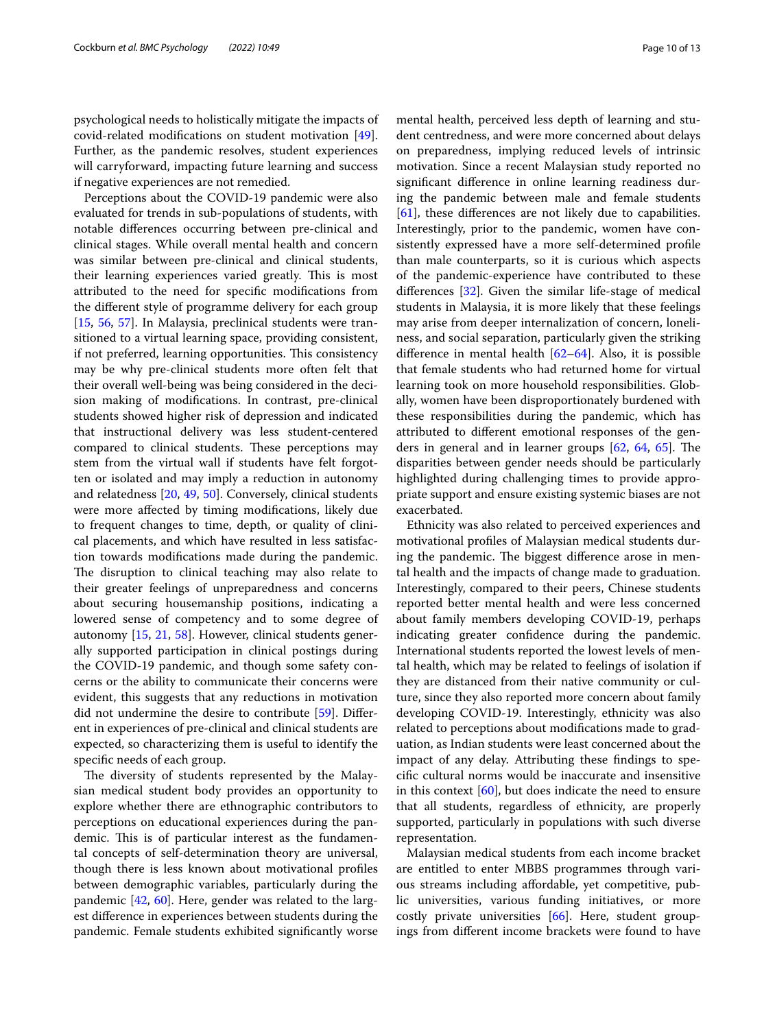psychological needs to holistically mitigate the impacts of covid-related modifcations on student motivation [\[49](#page-12-15)]. Further, as the pandemic resolves, student experiences will carryforward, impacting future learning and success if negative experiences are not remedied.

Perceptions about the COVID-19 pandemic were also evaluated for trends in sub-populations of students, with notable diferences occurring between pre-clinical and clinical stages. While overall mental health and concern was similar between pre-clinical and clinical students, their learning experiences varied greatly. This is most attributed to the need for specifc modifcations from the diferent style of programme delivery for each group [[15,](#page-11-5) [56](#page-12-21), [57\]](#page-12-22). In Malaysia, preclinical students were transitioned to a virtual learning space, providing consistent, if not preferred, learning opportunities. This consistency may be why pre-clinical students more often felt that their overall well-being was being considered in the decision making of modifcations. In contrast, pre-clinical students showed higher risk of depression and indicated that instructional delivery was less student-centered compared to clinical students. These perceptions may stem from the virtual wall if students have felt forgotten or isolated and may imply a reduction in autonomy and relatedness [\[20](#page-11-7), [49](#page-12-15), [50\]](#page-12-16). Conversely, clinical students were more afected by timing modifcations, likely due to frequent changes to time, depth, or quality of clinical placements, and which have resulted in less satisfaction towards modifcations made during the pandemic. The disruption to clinical teaching may also relate to their greater feelings of unpreparedness and concerns about securing housemanship positions, indicating a lowered sense of competency and to some degree of autonomy [\[15](#page-11-5), [21](#page-11-9), [58](#page-12-23)]. However, clinical students generally supported participation in clinical postings during the COVID-19 pandemic, and though some safety concerns or the ability to communicate their concerns were evident, this suggests that any reductions in motivation did not undermine the desire to contribute [[59\]](#page-12-24). Diferent in experiences of pre-clinical and clinical students are expected, so characterizing them is useful to identify the specifc needs of each group.

The diversity of students represented by the Malaysian medical student body provides an opportunity to explore whether there are ethnographic contributors to perceptions on educational experiences during the pandemic. This is of particular interest as the fundamental concepts of self-determination theory are universal, though there is less known about motivational profles between demographic variables, particularly during the pandemic [\[42](#page-12-8), [60](#page-12-25)]. Here, gender was related to the largest diference in experiences between students during the pandemic. Female students exhibited signifcantly worse mental health, perceived less depth of learning and student centredness, and were more concerned about delays on preparedness, implying reduced levels of intrinsic motivation. Since a recent Malaysian study reported no signifcant diference in online learning readiness during the pandemic between male and female students [[61\]](#page-12-26), these diferences are not likely due to capabilities. Interestingly, prior to the pandemic, women have consistently expressed have a more self-determined profle than male counterparts, so it is curious which aspects of the pandemic-experience have contributed to these diferences [\[32](#page-11-19)]. Given the similar life-stage of medical students in Malaysia, it is more likely that these feelings may arise from deeper internalization of concern, loneliness, and social separation, particularly given the striking diference in mental health [[62–](#page-12-27)[64](#page-12-28)]. Also, it is possible that female students who had returned home for virtual learning took on more household responsibilities. Globally, women have been disproportionately burdened with these responsibilities during the pandemic, which has attributed to diferent emotional responses of the genders in general and in learner groups  $[62, 64, 65]$  $[62, 64, 65]$  $[62, 64, 65]$  $[62, 64, 65]$  $[62, 64, 65]$  $[62, 64, 65]$ . The disparities between gender needs should be particularly highlighted during challenging times to provide appropriate support and ensure existing systemic biases are not exacerbated.

Ethnicity was also related to perceived experiences and motivational profles of Malaysian medical students during the pandemic. The biggest difference arose in mental health and the impacts of change made to graduation. Interestingly, compared to their peers, Chinese students reported better mental health and were less concerned about family members developing COVID-19, perhaps indicating greater confdence during the pandemic. International students reported the lowest levels of mental health, which may be related to feelings of isolation if they are distanced from their native community or culture, since they also reported more concern about family developing COVID-19. Interestingly, ethnicity was also related to perceptions about modifcations made to graduation, as Indian students were least concerned about the impact of any delay. Attributing these fndings to specifc cultural norms would be inaccurate and insensitive in this context  $[60]$  $[60]$ , but does indicate the need to ensure that all students, regardless of ethnicity, are properly supported, particularly in populations with such diverse representation.

Malaysian medical students from each income bracket are entitled to enter MBBS programmes through various streams including afordable, yet competitive, public universities, various funding initiatives, or more costly private universities [[66](#page-12-30)]. Here, student groupings from diferent income brackets were found to have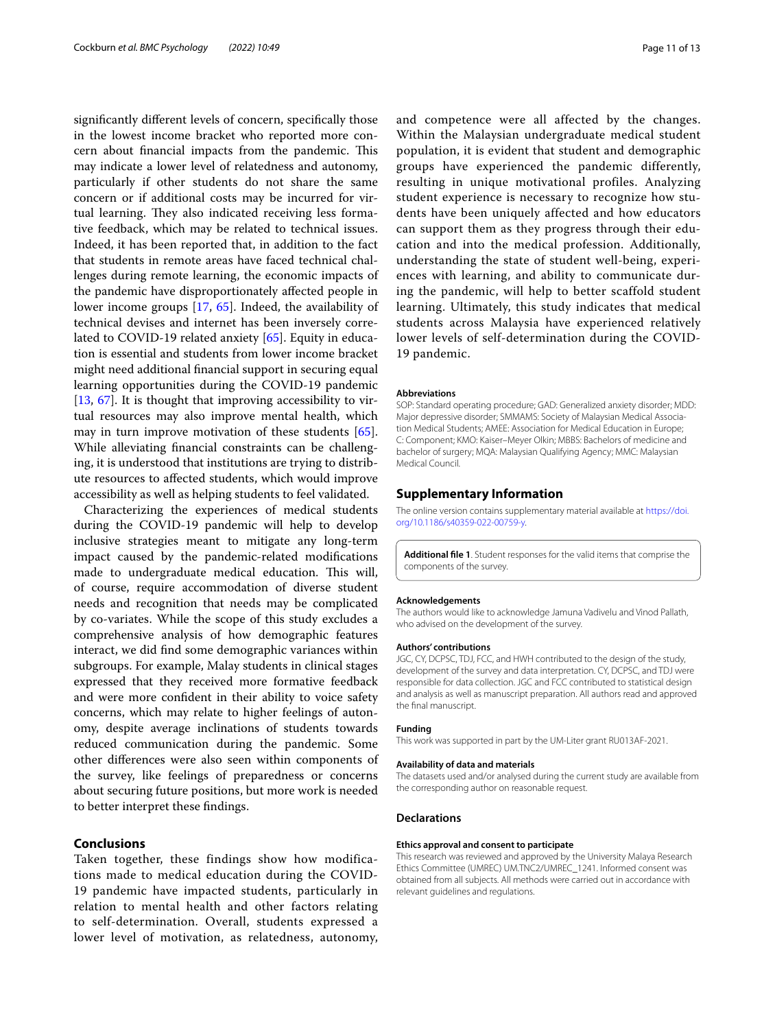signifcantly diferent levels of concern, specifcally those in the lowest income bracket who reported more concern about financial impacts from the pandemic. This may indicate a lower level of relatedness and autonomy, particularly if other students do not share the same concern or if additional costs may be incurred for virtual learning. They also indicated receiving less formative feedback, which may be related to technical issues. Indeed, it has been reported that, in addition to the fact that students in remote areas have faced technical challenges during remote learning, the economic impacts of the pandemic have disproportionately afected people in lower income groups [\[17,](#page-11-22) [65](#page-12-29)]. Indeed, the availability of technical devises and internet has been inversely correlated to COVID-19 related anxiety [[65\]](#page-12-29). Equity in education is essential and students from lower income bracket might need additional fnancial support in securing equal learning opportunities during the COVID-19 pandemic [[13,](#page-11-8) [67\]](#page-12-31). It is thought that improving accessibility to virtual resources may also improve mental health, which may in turn improve motivation of these students [\[65](#page-12-29)]. While alleviating fnancial constraints can be challenging, it is understood that institutions are trying to distribute resources to afected students, which would improve accessibility as well as helping students to feel validated.

Characterizing the experiences of medical students during the COVID-19 pandemic will help to develop inclusive strategies meant to mitigate any long-term impact caused by the pandemic-related modifcations made to undergraduate medical education. This will, of course, require accommodation of diverse student needs and recognition that needs may be complicated by co-variates. While the scope of this study excludes a comprehensive analysis of how demographic features interact, we did fnd some demographic variances within subgroups. For example, Malay students in clinical stages expressed that they received more formative feedback and were more confdent in their ability to voice safety concerns, which may relate to higher feelings of autonomy, despite average inclinations of students towards reduced communication during the pandemic. Some other diferences were also seen within components of the survey, like feelings of preparedness or concerns about securing future positions, but more work is needed to better interpret these fndings.

#### **Conclusions**

Taken together, these findings show how modifications made to medical education during the COVID-19 pandemic have impacted students, particularly in relation to mental health and other factors relating to self-determination. Overall, students expressed a lower level of motivation, as relatedness, autonomy, and competence were all affected by the changes. Within the Malaysian undergraduate medical student population, it is evident that student and demographic groups have experienced the pandemic differently, resulting in unique motivational profiles. Analyzing student experience is necessary to recognize how students have been uniquely affected and how educators can support them as they progress through their education and into the medical profession. Additionally, understanding the state of student well-being, experiences with learning, and ability to communicate during the pandemic, will help to better scaffold student learning. Ultimately, this study indicates that medical students across Malaysia have experienced relatively lower levels of self-determination during the COVID-19 pandemic.

#### **Abbreviations**

SOP: Standard operating procedure; GAD: Generalized anxiety disorder; MDD: Major depressive disorder; SMMAMS: Society of Malaysian Medical Association Medical Students; AMEE: Association for Medical Education in Europe; C: Component; KMO: Kaiser–Meyer Olkin; MBBS: Bachelors of medicine and bachelor of surgery; MQA: Malaysian Qualifying Agency; MMC: Malaysian Medical Council.

#### **Supplementary Information**

The online version contains supplementary material available at [https://doi.](https://doi.org/10.1186/s40359-022-00759-y) [org/10.1186/s40359-022-00759-y.](https://doi.org/10.1186/s40359-022-00759-y)

<span id="page-10-0"></span>**Additional fle 1**. Student responses for the valid items that comprise the components of the survey.

#### **Acknowledgements**

The authors would like to acknowledge Jamuna Vadivelu and Vinod Pallath, who advised on the development of the survey.

#### **Authors' contributions**

JGC, CY, DCPSC, TDJ, FCC, and HWH contributed to the design of the study, development of the survey and data interpretation. CY, DCPSC, and TDJ were responsible for data collection. JGC and FCC contributed to statistical design and analysis as well as manuscript preparation. All authors read and approved the fnal manuscript.

#### **Funding**

This work was supported in part by the UM-Liter grant RU013AF-2021.

#### **Availability of data and materials**

The datasets used and/or analysed during the current study are available from the corresponding author on reasonable request.

#### **Declarations**

#### **Ethics approval and consent to participate**

This research was reviewed and approved by the University Malaya Research Ethics Committee (UMREC) UM.TNC2/UMREC\_1241. Informed consent was obtained from all subjects. All methods were carried out in accordance with relevant quidelines and requlations.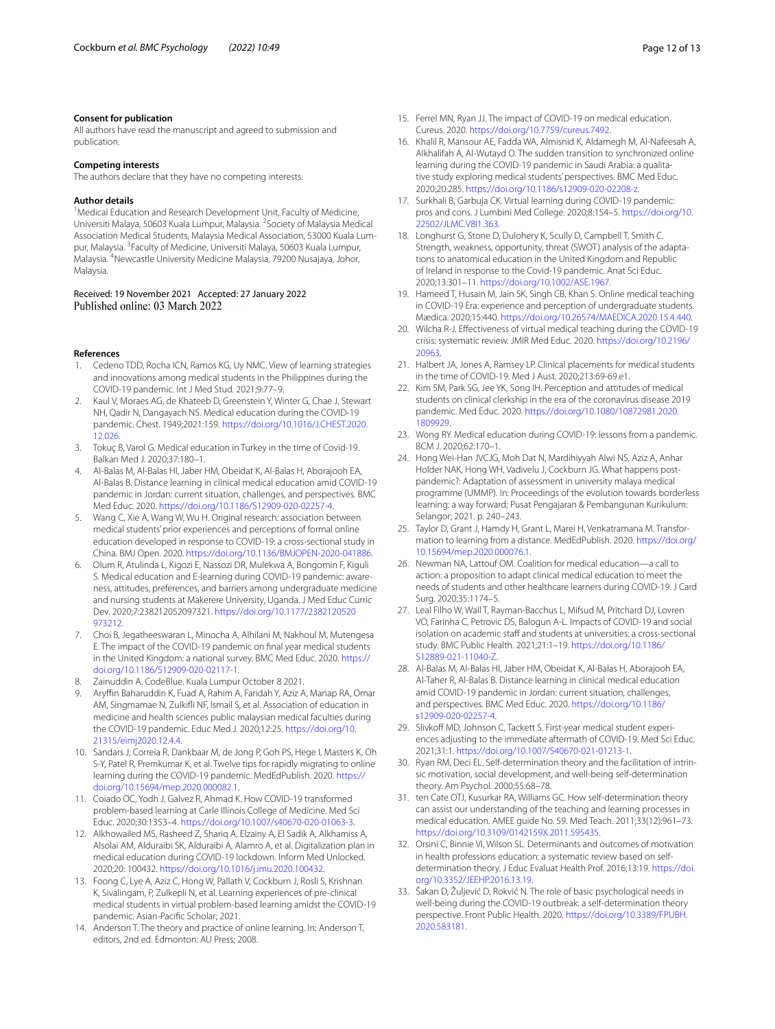#### **Consent for publication**

All authors have read the manuscript and agreed to submission and publication.

#### **Competing interests**

The authors declare that they have no competing interests.

#### **Author details**

<sup>1</sup> Medical Education and Research Development Unit, Faculty of Medicine, Universiti Malaya, 50603 Kuala Lumpur, Malaysia. <sup>2</sup> Society of Malaysia Medical Association Medical Students, Malaysia Medical Association, 53000 Kuala Lumpur, Malaysia. <sup>3</sup> Faculty of Medicine, Universiti Malaya, 50603 Kuala Lumpur, Malaysia. <sup>4</sup>Newcastle University Medicine Malaysia, 79200 Nusajaya, Johor, Malaysia.

# Received: 19 November 2021 Accepted: 27 January 2022

#### **References**

- <span id="page-11-0"></span>1. Cedeno TDD, Rocha ICN, Ramos KG, Uy NMC. View of learning strategies and innovations among medical students in the Philippines during the COVID-19 pandemic. Int J Med Stud. 2021;9:77–9.
- 2. Kaul V, Moraes AG, de Khateeb D, Greenstein Y, Winter G, Chae J, Stewart NH, Qadir N, Dangayach NS. Medical education during the COVID-19 pandemic. Chest. 1949;2021:159. [https://doi.org/10.1016/J.CHEST.2020.](https://doi.org/10.1016/J.CHEST.2020.12.026) [12.026](https://doi.org/10.1016/J.CHEST.2020.12.026).
- 3. Tokuç B, Varol G. Medical education in Turkey in the time of Covid-19. Balkan Med J. 2020;37:180–1.
- 4. Al-Balas M, Al-Balas HI, Jaber HM, Obeidat K, Al-Balas H, Aborajooh EA, Al-Balas B. Distance learning in clinical medical education amid COVID-19 pandemic in Jordan: current situation, challenges, and perspectives. BMC Med Educ. 2020. [https://doi.org/10.1186/S12909-020-02257-4.](https://doi.org/10.1186/S12909-020-02257-4)
- 5. Wang C, Xie A, Wang W, Wu H. Original research: association between medical students' prior experiences and perceptions of formal online education developed in response to COVID-19: a cross-sectional study in China. BMJ Open. 2020.<https://doi.org/10.1136/BMJOPEN-2020-041886>.
- 6. Olum R, Atulinda L, Kigozi E, Nassozi DR, Mulekwa A, Bongomin F, Kiguli S. Medical education and E-learning during COVID-19 pandemic: awareness, attitudes, preferences, and barriers among undergraduate medicine and nursing students at Makerere University, Uganda. J Med Educ Curric Dev. 2020;7:238212052097321. [https://doi.org/10.1177/2382120520](https://doi.org/10.1177/2382120520973212) [973212.](https://doi.org/10.1177/2382120520973212)
- <span id="page-11-1"></span>7. Choi B, Jegatheeswaran L, Minocha A, Alhilani M, Nakhoul M, Mutengesa E. The impact of the COVID-19 pandemic on fnal year medical students in the United Kingdom: a national survey. BMC Med Educ. 2020. [https://](https://doi.org/10.1186/S12909-020-02117-1) [doi.org/10.1186/S12909-020-02117-1.](https://doi.org/10.1186/S12909-020-02117-1)
- <span id="page-11-2"></span>8. Zainuddin A. CodeBlue. Kuala Lumpur October 8 2021.
- <span id="page-11-3"></span>9. Aryffin Baharuddin K, Fuad A, Rahim A, Faridah Y, Aziz A, Manap RA, Omar AM, Singmamae N, Zulkifli NF, Ismail S, et al. Association of education in medicine and health sciences public malaysian medical faculties during the COVID-19 pandemic. Educ Med J. 2020;12:25. [https://doi.org/10.](https://doi.org/10.21315/eimj2020.12.4.4) [21315/eimj2020.12.4.4.](https://doi.org/10.21315/eimj2020.12.4.4)
- <span id="page-11-4"></span>10. Sandars J, Correia R, Dankbaar M, de Jong P, Goh PS, Hege I, Masters K, Oh S-Y, Patel R, Premkumar K, et al. Twelve tips for rapidly migrating to online learning during the COVID-19 pandemic. MedEdPublish. 2020. [https://](https://doi.org/10.15694/mep.2020.000082.1) [doi.org/10.15694/mep.2020.000082.1](https://doi.org/10.15694/mep.2020.000082.1).
- 11. Coiado OC, Yodh J, Galvez R, Ahmad K. How COVID-19 transformed problem-based learning at Carle Illinois College of Medicine. Med Sci Educ. 2020;30:1353–4. [https://doi.org/10.1007/s40670-020-01063-3.](https://doi.org/10.1007/s40670-020-01063-3)
- 12. Alkhowailed MS, Rasheed Z, Shariq A, Elzainy A, El Sadik A, Alkhamiss A, Alsolai AM, Alduraibi SK, Alduraibi A, Alamro A, et al. Digitalization plan in medical education during COVID-19 lockdown. Inform Med Unlocked. 2020;20: 100432. <https://doi.org/10.1016/j.imu.2020.100432>.
- <span id="page-11-8"></span>13. Foong C, Lye A, Aziz C, Hong W, Pallath V, Cockburn J, Rosli S, Krishnan K, Sivalingam, P, Zulkepli N, et al. Learning experiences of pre-clinical medical students in virtual problem-based learning amidst the COVID-19 pandemic. Asian-Pacifc Scholar; 2021.
- 14. Anderson T. The theory and practice of online learning. In: Anderson T, editors, 2nd ed. Edmonton: AU Press; 2008.
- <span id="page-11-5"></span>15. Ferrel MN, Ryan JJ. The impact of COVID-19 on medical education. Cureus. 2020. [https://doi.org/10.7759/cureus.7492.](https://doi.org/10.7759/cureus.7492)
- <span id="page-11-6"></span>16. Khalil R, Mansour AE, Fadda WA, Almisnid K, Aldamegh M, Al-Nafeesah A, Alkhalifah A, Al-Wutayd O. The sudden transition to synchronized online learning during the COVID-19 pandemic in Saudi Arabia: a qualitative study exploring medical students' perspectives. BMC Med Educ. 2020;20:285.<https://doi.org/10.1186/s12909-020-02208-z>.
- <span id="page-11-22"></span>17. Surkhali B, Garbuja CK. Virtual learning during COVID-19 pandemic: pros and cons. J Lumbini Med College. 2020;8:154–5. [https://doi.org/10.](https://doi.org/10.22502/JLMC.V8I1.363) [22502/JLMC.V8I1.363](https://doi.org/10.22502/JLMC.V8I1.363).
- 18. Longhurst G, Stone D, Dulohery K, Scully D, Campbell T, Smith C. Strength, weakness, opportunity, threat (SWOT) analysis of the adaptations to anatomical education in the United Kingdom and Republic of Ireland in response to the Covid-19 pandemic. Anat Sci Educ. 2020;13:301–11.<https://doi.org/10.1002/ASE.1967>.
- 19. Hameed T, Husain M, Jain SK, Singh CB, Khan S. Online medical teaching in COVID-19 Era: experience and perception of undergraduate students. Mædica. 2020;15:440.<https://doi.org/10.26574/MAEDICA.2020.15.4.440>.
- <span id="page-11-7"></span>20. Wilcha R-J. Efectiveness of virtual medical teaching during the COVID-19 crisis: systematic review. JMIR Med Educ. 2020. [https://doi.org/10.2196/](https://doi.org/10.2196/20963) [20963](https://doi.org/10.2196/20963).
- <span id="page-11-9"></span>21. Halbert JA, Jones A, Ramsey LP. Clinical placements for medical students in the time of COVID-19. Med J Aust. 2020;213:69-69.e1.
- <span id="page-11-10"></span>22. Kim SM, Park SG, Jee YK, Song IH. Perception and attitudes of medical students on clinical clerkship in the era of the coronavirus disease 2019 pandemic. Med Educ. 2020. [https://doi.org/10.1080/10872981.2020.](https://doi.org/10.1080/10872981.2020.1809929) [1809929](https://doi.org/10.1080/10872981.2020.1809929).
- <span id="page-11-12"></span>23. Wong RY. Medical education during COVID-19: lessons from a pandemic. BCM J. 2020;62:170–1.
- <span id="page-11-11"></span>24. Hong Wei-Han JVCJG, Moh Dat N, Mardihiyyah Alwi NS, Aziz A, Anhar Holder NAK, Hong WH, Vadivelu J, Cockburn JG. What happens postpandemic?: Adaptation of assessment in university malaya medical programme (UMMP). In: Proceedings of the evolution towards borderless learning: a way forward; Pusat Pengajaran & Pembangunan Kurikulum: Selangor; 2021. p. 240–243.
- <span id="page-11-13"></span>25. Taylor D, Grant J, Hamdy H, Grant L, Marei H, Venkatramana M. Transformation to learning from a distance. MedEdPublish. 2020. [https://doi.org/](https://doi.org/10.15694/mep.2020.000076.1) [10.15694/mep.2020.000076.1](https://doi.org/10.15694/mep.2020.000076.1).
- <span id="page-11-14"></span>26. Newman NA, Lattouf OM. Coalition for medical education—a call to action: a proposition to adapt clinical medical education to meet the needs of students and other healthcare learners during COVID-19. J Card Surg. 2020;35:1174–5.
- <span id="page-11-15"></span>27. Leal Filho W, Wall T, Rayman-Bacchus L, Mifsud M, Pritchard DJ, Lovren VO, Farinha C, Petrovic DS, Balogun A-L. Impacts of COVID-19 and social isolation on academic staff and students at universities: a cross-sectional study. BMC Public Health. 2021;21:1–19. [https://doi.org/10.1186/](https://doi.org/10.1186/S12889-021-11040-Z) [S12889-021-11040-Z.](https://doi.org/10.1186/S12889-021-11040-Z)
- <span id="page-11-16"></span>28. Al-Balas M, Al-Balas HI, Jaber HM, Obeidat K, Al-Balas H, Aborajooh EA, Al-Taher R, Al-Balas B. Distance learning in clinical medical education amid COVID-19 pandemic in Jordan: current situation, challenges, and perspectives. BMC Med Educ. 2020. [https://doi.org/10.1186/](https://doi.org/10.1186/s12909-020-02257-4) [s12909-020-02257-4](https://doi.org/10.1186/s12909-020-02257-4).
- <span id="page-11-17"></span>29. Slivkoff MD, Johnson C, Tackett S. First-year medical student experiences adjusting to the immediate aftermath of COVID-19. Med Sci Educ. 2021;31:1. <https://doi.org/10.1007/S40670-021-01213-1>.
- <span id="page-11-18"></span>30. Ryan RM, Deci EL. Self-determination theory and the facilitation of intrinsic motivation, social development, and well-being self-determination theory. Am Psychol. 2000;55:68–78.
- <span id="page-11-21"></span>31. ten Cate OTJ, Kusurkar RA, Williams GC. How self-determination theory can assist our understanding of the teaching and learning processes in medical education. AMEE guide No. 59. Med Teach. 2011;33(12):961–73. <https://doi.org/10.3109/0142159X.2011.595435>.
- <span id="page-11-19"></span>32. Orsini C, Binnie VI, Wilson SL. Determinants and outcomes of motivation in health professions education: a systematic review based on selfdetermination theory. J Educ Evaluat Health Prof. 2016;13:19. [https://doi.](https://doi.org/10.3352/JEEHP.2016.13.19) [org/10.3352/JEEHP.2016.13.19.](https://doi.org/10.3352/JEEHP.2016.13.19)
- <span id="page-11-20"></span>33. Šakan D, Žuljević D, Rokvić N. The role of basic psychological needs in well-being during the COVID-19 outbreak: a self-determination theory perspective. Front Public Health. 2020. [https://doi.org/10.3389/FPUBH.](https://doi.org/10.3389/FPUBH.2020.583181) [2020.583181.](https://doi.org/10.3389/FPUBH.2020.583181)